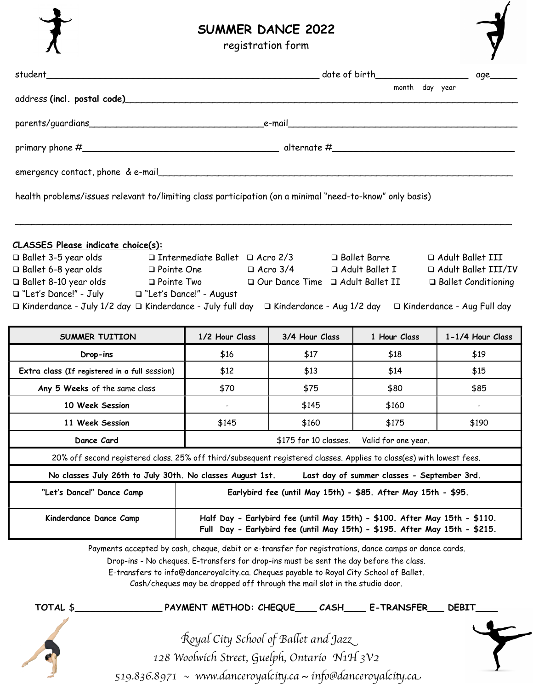

## **SUMMER DANCE 2022**

registration form

|                                                                                                                                                                                                                                                                                                                                                                                                                                                                                                                                                             |                                                                                                                                                          |                |                                             | 1                        |
|-------------------------------------------------------------------------------------------------------------------------------------------------------------------------------------------------------------------------------------------------------------------------------------------------------------------------------------------------------------------------------------------------------------------------------------------------------------------------------------------------------------------------------------------------------------|----------------------------------------------------------------------------------------------------------------------------------------------------------|----------------|---------------------------------------------|--------------------------|
|                                                                                                                                                                                                                                                                                                                                                                                                                                                                                                                                                             |                                                                                                                                                          |                |                                             | age_                     |
|                                                                                                                                                                                                                                                                                                                                                                                                                                                                                                                                                             |                                                                                                                                                          |                | month day year                              |                          |
|                                                                                                                                                                                                                                                                                                                                                                                                                                                                                                                                                             |                                                                                                                                                          |                |                                             |                          |
|                                                                                                                                                                                                                                                                                                                                                                                                                                                                                                                                                             |                                                                                                                                                          |                |                                             |                          |
| emergency contact, phone & e-mail                                                                                                                                                                                                                                                                                                                                                                                                                                                                                                                           |                                                                                                                                                          |                |                                             |                          |
| health problems/issues relevant to/limiting class participation (on a minimal "need-to-know" only basis)                                                                                                                                                                                                                                                                                                                                                                                                                                                    |                                                                                                                                                          |                |                                             |                          |
| <b>CLASSES Please indicate choice(s):</b><br>□ Ballet 3-5 year olds      □ Intermediate Ballet  □ Acro 2/3      □ Ballet Barre<br>a Adult Ballet III<br>□ Ballet 6-8 year olds      □ Pointe One       □ Acro 3/4      □ Adult Ballet I<br>Adult Ballet III/IV<br>□ Ballet 8-10 year olds      □ Pointe Two       □ Our Dance Time   □ Adult Ballet II<br>□ Ballet Conditioning<br>□ "Let's Dance!" - July □ "Let's Dance!" - August<br>□ Kinderdance - July 1/2 day □ Kinderdance - July full day □ Kinderdance - Aug 1/2 day □ Kinderdance - Aug Full day |                                                                                                                                                          |                |                                             |                          |
| SUMMER TUITION                                                                                                                                                                                                                                                                                                                                                                                                                                                                                                                                              | 1/2 Hour Class                                                                                                                                           | 3/4 Hour Class | 1 Hour Class                                | 1-1/4 Hour Class         |
| Drop-ins                                                                                                                                                                                                                                                                                                                                                                                                                                                                                                                                                    | \$16                                                                                                                                                     | \$17           | \$18                                        | \$19                     |
| Extra class (If registered in a full session)                                                                                                                                                                                                                                                                                                                                                                                                                                                                                                               | \$12                                                                                                                                                     | \$13           | \$14                                        | \$15                     |
| Any 5 Weeks of the same class                                                                                                                                                                                                                                                                                                                                                                                                                                                                                                                               | \$70                                                                                                                                                     | \$75           | \$80                                        | \$85                     |
| 10 Week Session                                                                                                                                                                                                                                                                                                                                                                                                                                                                                                                                             | $\sim$                                                                                                                                                   | \$145          | \$160                                       | $\overline{\phantom{a}}$ |
| 11 Week Session                                                                                                                                                                                                                                                                                                                                                                                                                                                                                                                                             | \$145                                                                                                                                                    | \$160          | \$175                                       | \$190                    |
| Dance Card                                                                                                                                                                                                                                                                                                                                                                                                                                                                                                                                                  | \$175 for 10 classes.<br>Valid for one year.                                                                                                             |                |                                             |                          |
| 20% off second registered class. 25% off third/subsequent registered classes. Applies to class(es) with lowest fees.                                                                                                                                                                                                                                                                                                                                                                                                                                        |                                                                                                                                                          |                |                                             |                          |
| No classes July 26th to July 30th. No classes August 1st.                                                                                                                                                                                                                                                                                                                                                                                                                                                                                                   |                                                                                                                                                          |                | Last day of summer classes - September 3rd. |                          |
| "Let's Dance!" Dance Camp                                                                                                                                                                                                                                                                                                                                                                                                                                                                                                                                   | Earlybird fee (until May 15th) - \$85. After May 15th - \$95.                                                                                            |                |                                             |                          |
| Kinderdance Dance Camp                                                                                                                                                                                                                                                                                                                                                                                                                                                                                                                                      | Half Day - Earlybird fee (until May 15th) - \$100. After May 15th - \$110.<br>Full Day - Earlybird fee (until May 15th) - \$195. After May 15th - \$215. |                |                                             |                          |
| Payments accepted by cash, cheque, debit or e-transfer for registrations, dance camps or dance cards.                                                                                                                                                                                                                                                                                                                                                                                                                                                       | Drop-ins - No cheques. E-transfers for drop-ins must be sent the day before the class.                                                                   |                |                                             |                          |

E-transfers to [info@danceroyalcity.ca](mailto:info@danceroyalcity.ca). Cheques payable to Royal City School of Ballet.

Cash/cheques may be dropped off through the mail slot in the studio door.